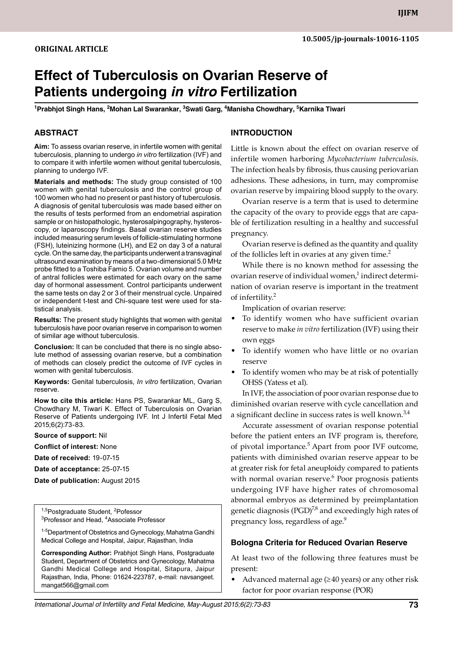# **Effect of Tuberculosis on Ovarian Reserve of Patients undergoing** *in vitro* **Fertilization**

<sup>1</sup>Prabhjot Singh Hans, <sup>2</sup>Mohan Lal Swarankar, <sup>3</sup>Swati Garg, <sup>4</sup>Manisha Chowdhary, <sup>5</sup>Karnika Tiwari

## **ABSTRACT**

**Aim:** To assess ovarian reserve, in infertile women with genital tuberculosis, planning to undergo *in vitro* fertilization (IVF) and to compare it with infertile women without genital tuberculosis, planning to undergo IVF.

**Materials and methods:** The study group consisted of 100 women with genital tuberculosis and the control group of 100 women who had no present or past history of tuberculosis. A diagnosis of genital tuberculosis was made based either on the results of tests performed from an endometrial aspiration sample or on histopathologic, hysterosalpingography, hysteroscopy, or laparoscopy findings. Basal ovarian reserve studies included measuring serum levels of follicle-stimulating hormone (FSH), luteinizing hormone (LH), and E2 on day 3 of a natural cycle. On the same day, the participants underwent a transvaginal ultrasound examination by means of a two-dimensional 5.0 MHz probe fitted to a Toshiba Famio 5. Ovarian volume and number of antral follicles were estimated for each ovary on the same day of hormonal assessment. Control participants underwent the same tests on day 2 or 3 of their menstrual cycle. Unpaired or independent t-test and Chi-square test were used for statistical analysis.

**Results:** The present study highlights that women with genital tuberculosis have poor ovarian reserve in comparison to women of similar age without tuberculosis.

**Conclusion:** It can be concluded that there is no single absolute method of assessing ovarian reserve, but a combination of methods can closely predict the outcome of IVF cycles in women with genital tuberculosis.

**Keywords:** Genital tuberculosis, *in vitro* fertilization, Ovarian reserve.

**How to cite this article:** Hans PS, Swarankar ML, Garg S, Chowdhary M, Tiwari K. Effect of Tuberculosis on Ovarian Reserve of Patients undergoing IVF. Int J Infertil Fetal Med 2015;6(2):73-83.

**Source of support:** Nil

**Conflict of interest:** None

**Date of received:** 19-07-15

**Date of acceptance:** 25-07-15

**Date of publication:** August 2015

<sup>1,5</sup>Postgraduate Student, <sup>2</sup>Pofessor<br><sup>3</sup>Professor and Head, <sup>4</sup>Associate Pr Professor and Head, <sup>4</sup>Associate Professor

<sup>1-5</sup>Department of Obstetrics and Gynecology, Mahatma Gandhi Medical College and Hospital, Jaipur, Rajasthan, India

**Corresponding Author:** Prabhjot Singh Hans, Postgraduate Student, Department of Obstetrics and Gynecology, Mahatma Gandhi Medical College and Hospital, Sitapura, Jaipur Rajasthan, India, Phone: 01624-223787, e-mail: navsangeet. mangat566@gmail.com

## **Introduction**

Little is known about the effect on ovarian reserve of infertile women harboring *mycobacterium tuberculosis*. The infection heals by fibrosis, thus causing periovarian adhesions. These adhesions, in turn, may compromise ovarian reserve by impairing blood supply to the ovary.

Ovarian reserve is a term that is used to determine the capacity of the ovary to provide eggs that are capable of fertilization resulting in a healthy and successful pregnancy.

Ovarian reserve is defined as the quantity and quality of the follicles left in ovaries at any given time.<sup>2</sup>

While there is no known method for assessing the ovarian reserve of individual women, $^1$  indirect determination of ovarian reserve is important in the treatment of infertility.<sup>2</sup>

Implication of ovarian reserve:

- To identify women who have sufficient ovarian reserve to make *in vitro* fertilization (IVF) using their own eggs
- To identify women who have little or no ovarian reserve
- To identify women who may be at risk of potentially OHSS (Yatess et al).

In IVF, the association of poor ovarian response due to diminished ovarian reserve with cycle cancellation and a significant decline in success rates is well known.<sup>3,4</sup>

Accurate assessment of ovarian response potential before the patient enters an IVF program is, therefore, of pivotal importance.<sup>5</sup> Apart from poor IVF outcome, patients with diminished ovarian reserve appear to be at greater risk for fetal aneuploidy compared to patients with normal ovarian reserve.<sup>6</sup> Poor prognosis patients undergoing IVF have higher rates of chromosomal abnormal embryos as determined by preimplantation genetic diagnosis (PGD) $^{7,8}$  and exceedingly high rates of pregnancy loss, regardless of age.<sup>9</sup>

#### **Bologna Criteria for Reduced Ovarian Reserve**

At least two of the following three features must be present:

Advanced maternal age  $(\geq 40$  years) or any other risk factor for poor ovarian response (POR)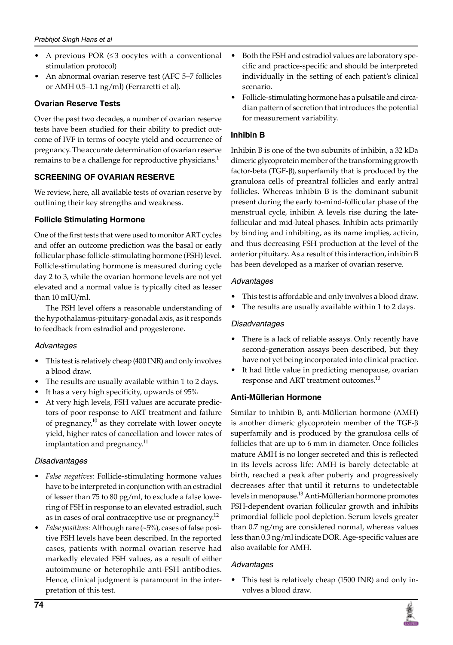- A previous POR  $(≤3$  oocytes with a conventional stimulation protocol)
- An abnormal ovarian reserve test (AFC 5–7 follicles or AMH 0.5–1.1 ng/ml) (Ferraretti et al).

# **Ovarian Reserve Tests**

Over the past two decades, a number of ovarian reserve tests have been studied for their ability to predict outcome of IVF in terms of oocyte yield and occurrence of pregnancy. The accurate determination of ovarian reserve remains to be a challenge for reproductive physicians.<sup>1</sup>

# **SCREENING OF OVARIAN RESERVE**

We review, here, all available tests of ovarian reserve by outlining their key strengths and weakness.

# **Follicle Stimulating Hormone**

One of the first tests that were used to monitor ART cycles and offer an outcome prediction was the basal or early follicular phase follicle-stimulating hormone (FSH) level. Follicle-stimulating hormone is measured during cycle day 2 to 3, while the ovarian hormone levels are not yet elevated and a normal value is typically cited as lesser than 10 mIU/ml.

The FSH level offers a reasonable understanding of the hypothalamus-pituitary-gonadal axis, as it responds to feedback from estradiol and progesterone.

# *Advantages*

- This test is relatively cheap (400 INR) and only involves a blood draw.
- The results are usually available within 1 to 2 days.
- It has a very high specificity, upwards of 95%
- At very high levels, FSH values are accurate predictors of poor response to ART treatment and failure of pregnancy, $10$  as they correlate with lower oocyte yield, higher rates of cancellation and lower rates of implantation and pregnancy.<sup>11</sup>

# *Disadvantages*

- *False negatives:* Follicle-stimulating hormone values have to be interpreted in conjunction with an estradiol of lesser than 75 to 80 pg/ml, to exclude a false lowering of FSH in response to an elevated estradiol, such as in cases of oral contraceptive use or pregnancy.<sup>12</sup>
- *False positives:* Although rare (~5%), cases of false positive FSH levels have been described. In the reported cases, patients with normal ovarian reserve had markedly elevated FSH values, as a result of either autoimmune or heterophile anti-FSH antibodies. Hence, clinical judgment is paramount in the interpretation of this test.
- Both the FSH and estradiol values are laboratory specific and practice-specific and should be interpreted individually in the setting of each patient's clinical scenario.
- Follicle-stimulating hormone has a pulsatile and circadian pattern of secretion that introduces the potential for measurement variability.

# **Inhibin B**

Inhibin B is one of the two subunits of inhibin, a 32 kDa dimeric glycoprotein member of the transforming growth factor-beta (TGF- $\beta$ ), superfamily that is produced by the granulosa cells of preantral follicles and early antral follicles. Whereas inhibin B is the dominant subunit present during the early to-mind-follicular phase of the menstrual cycle, inhibin A levels rise during the latefollicular and mid-luteal phases. Inhibin acts primarily by binding and inhibiting, as its name implies, activin, and thus decreasing FSH production at the level of the anterior pituitary. As a result of this interaction, inhibin B has been developed as a marker of ovarian reserve.

# *Advantages*

- This test is affordable and only involves a blood draw.
- The results are usually available within 1 to 2 days.

# *Disadvantages*

- There is a lack of reliable assays. Only recently have second-generation assays been described, but they have not yet being incorporated into clinical practice.
- It had little value in predicting menopause, ovarian response and ART treatment outcomes.<sup>10</sup>

# **Anti-Müllerian Hormone**

Similar to inhibin B, anti-Müllerian hormone (AMH) is another dimeric glycoprotein member of the TGF- $\beta$ superfamily and is produced by the granulosa cells of follicles that are up to 6 mm in diameter. Once follicles mature AMH is no longer secreted and this is reflected in its levels across life: AMH is barely detectable at birth, reached a peak after puberty and progressively decreases after that until it returns to undetectable levels in menopause.<sup>13</sup> Anti-Müllerian hormone promotes FSH-dependent ovarian follicular growth and inhibits primordial follicle pool depletion. Serum levels greater than 0.7 ng/mg are considered normal, whereas values less than 0.3 ng/ml indicate DOR. Age-specific values are also available for AMH.

# *Advantages*

• This test is relatively cheap (1500 INR) and only involves a blood draw.

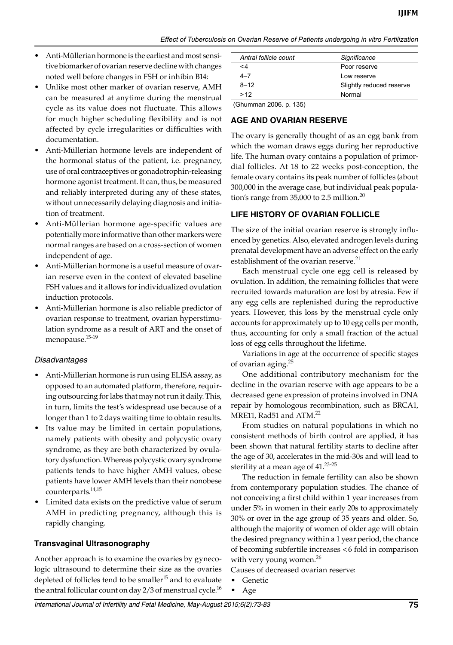*Effect of Tuberculosis on Ovarian Reserve of Patients undergoing in vitro Fertilization*

- Anti-Müllerian hormone is the earliest and most sensitive biomarker of ovarian reserve decline with changes noted well before changes in FSH or inhibin B14:
- Unlike most other marker of ovarian reserve, AMH can be measured at anytime during the menstrual cycle as its value does not fluctuate. This allows for much higher scheduling flexibility and is not affected by cycle irregularities or difficulties with documentation.
- Anti-Müllerian hormone levels are independent of the hormonal status of the patient, i.e. pregnancy, use of oral contraceptives or gonadotrophin-releasing hormone agonist treatment. It can, thus, be measured and reliably interpreted during any of these states, without unnecessarily delaying diagnosis and initiation of treatment.
- Anti-Müllerian hormone age-specific values are potentially more informative than other markers were normal ranges are based on a cross-section of women independent of age.
- Anti-Müllerian hormone is a useful measure of ovarian reserve even in the context of elevated baseline FSH values and it allows for individualized ovulation induction protocols.
- Anti-Müllerian hormone is also reliable predictor of ovarian response to treatment, ovarian hyperstimulation syndrome as a result of ART and the onset of menopause.15-19

#### *Disadvantages*

- Anti-Müllerian hormone is run using ELISA assay, as opposed to an automated platform, therefore, requiring outsourcing for labs that may not run it daily. This, in turn, limits the test's widespread use because of a longer than 1 to 2 days waiting time to obtain results.
- Its value may be limited in certain populations, namely patients with obesity and polycystic ovary syndrome, as they are both characterized by ovulatory dysfunction. Whereas polycystic ovary syndrome patients tends to have higher AMH values, obese patients have lower AMH levels than their nonobese counterparts.14,15
- Limited data exists on the predictive value of serum AMH in predicting pregnancy, although this is rapidly changing.

# **Transvaginal Ultrasonography**

Another approach is to examine the ovaries by gynecologic ultrasound to determine their size as the ovaries depleted of follicles tend to be smaller<sup>15</sup> and to evaluate the antral follicular count on day 2/3 of menstrual cycle. $^{16}$ 

|          | Antral follicle count |                      | Significance             |
|----------|-----------------------|----------------------|--------------------------|
| $\leq 4$ |                       |                      | Poor reserve             |
| $4 - 7$  |                       |                      | Low reserve              |
| $8 - 12$ |                       |                      | Slightly reduced reserve |
| >12      |                       |                      | Normal                   |
|          | ----                  | $\sim$ $\sim$ $\sim$ |                          |

(Ghumman 2006. p. 135)

# **AGE AND OVARIAN RESERVE**

The ovary is generally thought of as an egg bank from which the woman draws eggs during her reproductive life. The human ovary contains a population of primordial follicles. At 18 to 22 weeks post-conception, the female ovary contains its peak number of follicles (about 300,000 in the average case, but individual peak population's range from 35,000 to 2.5 million.<sup>20</sup>

# **LIFE HISTORY OF OVARIAN FOLLICLE**

The size of the initial ovarian reserve is strongly influenced by genetics. Also, elevated androgen levels during prenatal development have an adverse effect on the early establishment of the ovarian reserve.<sup>21</sup>

Each menstrual cycle one egg cell is released by ovulation. In addition, the remaining follicles that were recruited towards maturation are lost by atresia. Few if any egg cells are replenished during the reproductive years. However, this loss by the menstrual cycle only accounts for approximately up to 10 egg cells per month, thus, accounting for only a small fraction of the actual loss of egg cells throughout the lifetime.

Variations in age at the occurrence of specific stages of ovarian aging.<sup>25</sup>

One additional contributory mechanism for the decline in the ovarian reserve with age appears to be a decreased gene expression of proteins involved in DNA repair by homologous recombination, such as BRCA1, MRE11, Rad51 and ATM.<sup>22</sup>

From studies on natural populations in which no consistent methods of birth control are applied, it has been shown that natural fertility starts to decline after the age of 30, accelerates in the mid-30s and will lead to sterility at a mean age of  $41.^{23\text{-}25}$ 

The reduction in female fertility can also be shown from contemporary population studies. The chance of not conceiving a first child within 1 year increases from under 5% in women in their early 20s to approximately 30% or over in the age group of 35 years and older. So, although the majority of women of older age will obtain the desired pregnancy within a 1 year period, the chance of becoming subfertile increases <6 fold in comparison with very young women. $^{26}$ 

Causes of decreased ovarian reserve:

• Genetic

• Age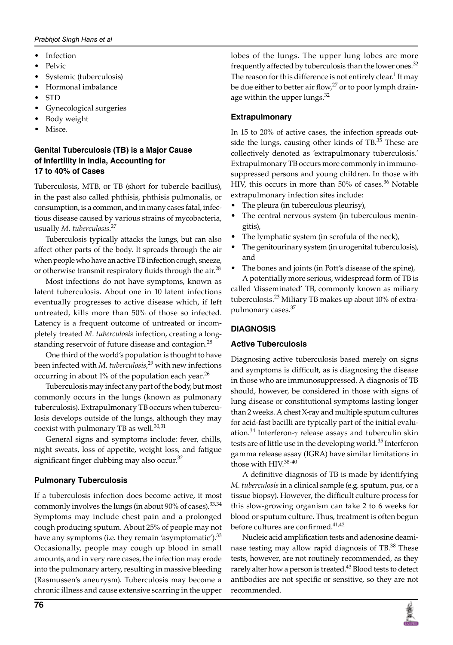- **Infection**
- Pelvic
- Systemic (tuberculosis)
- hormonal imbalance
- STD
- Gynecological surgeries
- Body weight
- Misce.

# **Genital Tuberculosis (TB) is a Major Cause of Infertility in India, Accounting for 17 to 40% of Cases**

Tuberculosis, MTB, or TB (short for tubercle bacillus), in the past also called phthisis, phthisis pulmonalis, or consumption, is a common, and in many cases fatal, infectious disease caused by various strains of mycobacteria, usually *M. tuberculosis*. 27

Tuberculosis typically attacks the lungs, but can also affect other parts of the body. It spreads through the air when people who have an active TB infection cough, sneeze, or otherwise transmit respiratory fluids through the air.<sup>28</sup>

Most infections do not have symptoms, known as latent tuberculosis. About one in 10 latent infections eventually progresses to active disease which, if left untreated, kills more than 50% of those so infected. Latency is a frequent outcome of untreated or incompletely treated *M. tuberculosis* infection, creating a longstanding reservoir of future disease and contagion.<sup>28</sup>

One third of the world's population is thought to have been infected with *M. tuberculosis*, 29 with new infections occurring in about  $1\%$  of the population each year.<sup>26</sup>

Tuberculosis may infect any part of the body, but most commonly occurs in the lungs (known as pulmonary tuberculosis). Extrapulmonary TB occurs when tuberculosis develops outside of the lungs, although they may coexist with pulmonary TB as well. $30,31$ 

General signs and symptoms include: fever, chills, night sweats, loss of appetite, weight loss, and fatigue significant finger clubbing may also occur.<sup>32</sup>

# **Pulmonary Tuberculosis**

If a tuberculosis infection does become active, it most commonly involves the lungs (in about 90% of cases).<sup>33,34</sup> Symptoms may include chest pain and a prolonged cough producing sputum. About 25% of people may not have any symptoms (i.e. they remain 'asymptomatic'). $33$ Occasionally, people may cough up blood in small amounts, and in very rare cases, the infection may erode into the pulmonary artery, resulting in massive bleeding (Rasmussen's aneurysm). Tuberculosis may become a chronic illness and cause extensive scarring in the upper

lobes of the lungs. The upper lung lobes are more frequently affected by tuberculosis than the lower ones.<sup>32</sup> The reason for this difference is not entirely clear. $^1$  It may be due either to better air flow, $27$  or to poor lymph drainage within the upper lungs. $32$ 

# **Extrapulmonary**

In 15 to 20% of active cases, the infection spreads outside the lungs, causing other kinds of  $TB$ .<sup>35</sup> These are collectively denoted as 'extrapulmonary tuberculosis.' Extrapulmonary TB occurs more commonly in immunosuppressed persons and young children. In those with HIV, this occurs in more than 50% of cases. $36$  Notable extrapulmonary infection sites include:

- The pleura (in tuberculous pleurisy),
- The central nervous system (in tuberculous meningitis),
- The lymphatic system (in scrofula of the neck),
- The genitourinary system (in urogenital tuberculosis), and
- The bones and joints (in Pott's disease of the spine), A potentially more serious, widespread form of TB is

called 'disseminated' TB, commonly known as miliary tuberculosis.<sup>23</sup> Miliary TB makes up about 10% of extrapulmonary cases.<sup>37</sup>

# **Diagnosis**

# **Active Tuberculosis**

Diagnosing active tuberculosis based merely on signs and symptoms is difficult, as is diagnosing the disease in those who are immunosuppressed. A diagnosis of TB should, however, be considered in those with signs of lung disease or constitutional symptoms lasting longer than 2 weeks. A chest X-ray and multiple sputum cultures for acid-fast bacilli are typically part of the initial evaluation.<sup>34</sup> Interferon- $\gamma$  release assays and tuberculin skin tests are of little use in the developing world.<sup>35</sup> Interferon gamma release assay (IGRA) have similar limitations in those with HIV.<sup>38-40</sup>

A definitive diagnosis of TB is made by identifying *M. tuberculosis* in a clinical sample (e.g. sputum, pus, or a tissue biopsy). However, the difficult culture process for this slow-growing organism can take 2 to 6 weeks for blood or sputum culture. Thus, treatment is often begun before cultures are confirmed.<sup>41,42</sup>

Nucleic acid amplification tests and adenosine deaminase testing may allow rapid diagnosis of TB.<sup>38</sup> These tests, however, are not routinely recommended, as they rarely alter how a person is treated.<sup>43</sup> Blood tests to detect antibodies are not specific or sensitive, so they are not recommended.

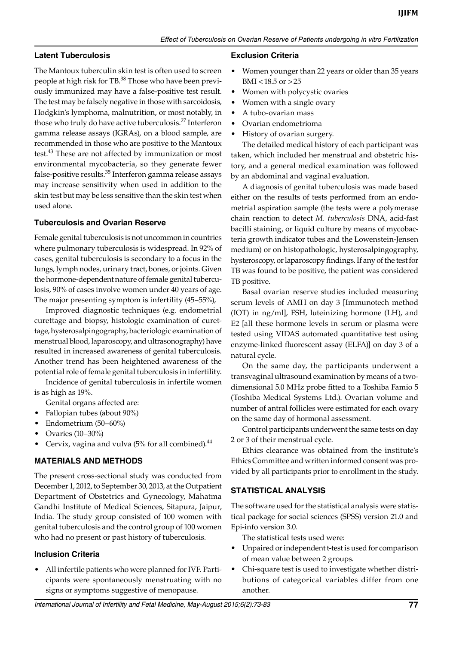## **Latent Tuberculosis**

The Mantoux tuberculin skin test is often used to screen people at high risk for TB.<sup>38</sup> Those who have been previously immunized may have a false-positive test result. The test may be falsely negative in those with sarcoidosis, Hodgkin's lymphoma, malnutrition, or most notably, in those who truly do have active tuberculosis.<sup>27</sup> Interferon gamma release assays (IGRAs), on a blood sample, are recommended in those who are positive to the Mantoux test.<sup>43</sup> These are not affected by immunization or most environmental mycobacteria, so they generate fewer false-positive results.<sup>35</sup> Interferon gamma release assays may increase sensitivity when used in addition to the skin test but may be less sensitive than the skin test when used alone.

#### **Tuberculosis and Ovarian Reserve**

Female genital tuberculosis is not uncommon in countries where pulmonary tuberculosis is widespread. In 92% of cases, genital tuberculosis is secondary to a focus in the lungs, lymph nodes, urinary tract, bones, or joints. Given the hormone-dependent nature of female genital tuberculosis, 90% of cases involve women under 40 years of age. The major presenting symptom is infertility (45–55%),

Improved diagnostic techniques (e.g. endometrial curettage and biopsy, histologic examination of curettage, hysterosalpingography, bacteriologic examination of menstrual blood, laparoscopy, and ultrasonography) have resulted in increased awareness of genital tuberculosis. Another trend has been heightened awareness of the potential role of female genital tuberculosis in infertility.

Incidence of genital tuberculosis in infertile women is as high as 19%.

- Genital organs affected are:
- Fallopian tubes (about 90%)
- Endometrium (50–60%)
- Ovaries (10–30%)
- Cervix, vagina and vulva  $(5\%$  for all combined).<sup>44</sup>

#### **Materials and methods**

The present cross-sectional study was conducted from December 1, 2012, to September 30, 2013, at the Outpatient Department of Obstetrics and Gynecology, Mahatma Gandhi Institute of Medical Sciences, Sitapura, Jaipur, India. The study group consisted of 100 women with genital tuberculosis and the control group of 100 women who had no present or past history of tuberculosis.

#### **Inclusion criteria**

• All infertile patients who were planned for IVF. Participants were spontaneously menstruating with no signs or symptoms suggestive of menopause.

#### **Exclusion criteria**

- Women younger than 22 years or older than 35 years BMI <18.5 or  $>25$
- Women with polycystic ovaries
- Women with a single ovary
- A tubo-ovarian mass
- Ovarian endometrioma
- History of ovarian surgery.

The detailed medical history of each participant was taken, which included her menstrual and obstetric history, and a general medical examination was followed by an abdominal and vaginal evaluation.

A diagnosis of genital tuberculosis was made based either on the results of tests performed from an endometrial aspiration sample (the tests were a polymerase chain reaction to detect *M. tuberculosis* DNA, acid-fast bacilli staining, or liquid culture by means of mycobacteria growth indicator tubes and the Lowenstein-Jensen medium) or on histopathologic, hysterosalpingography, hysteroscopy, or laparoscopy findings. If any of the test for TB was found to be positive, the patient was considered TB positive.

Basal ovarian reserve studies included measuring serum levels of AMH on day 3 [Immunotech method (IOT) in ng/ml], FSH, luteinizing hormone (LH), and E2 [all these hormone levels in serum or plasma were tested using VIDAS automated quantitative test using enzyme-linked fluorescent assay (ELFA)] on day 3 of a natural cycle.

On the same day, the participants underwent a transvaginal ultrasound examination by means of a twodimensional 5.0 MHz probe fitted to a Toshiba Famio 5 (Toshiba Medical Systems Ltd.). Ovarian volume and number of antral follicles were estimated for each ovary on the same day of hormonal assessment.

Control participants underwent the same tests on day 2 or 3 of their menstrual cycle.

Ethics clearance was obtained from the institute's Ethics Committee and written informed consent was provided by all participants prior to enrollment in the study.

#### **STATISTICAL ANALYSIS**

The software used for the statistical analysis were statistical package for social sciences (SPSS) version 21.0 and Epi-info version 3.0.

The statistical tests used were:

- Unpaired or independent t-test is used for comparison of mean value between 2 groups.
- Chi-square test is used to investigate whether distributions of categorical variables differ from one another.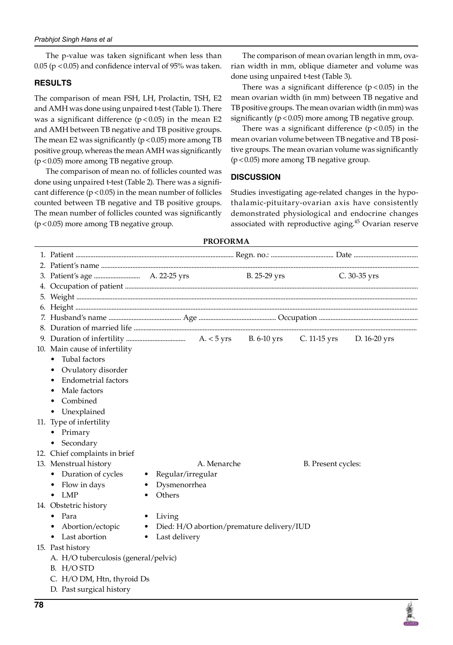The p-value was taken significant when less than 0.05 ( $p$  < 0.05) and confidence interval of 95% was taken.

# **Results**

The comparison of mean FSH, LH, Prolactin, TSH, E2 and AMH was done using unpaired t-test (Table 1). There was a significant difference  $(p<0.05)$  in the mean E2 and AMH between TB negative and TB positive groups. The mean E2 was significantly ( $p < 0.05$ ) more among TB positive group, whereas the mean AMH was significantly (p<0.05) more among TB negative group.

The comparison of mean no. of follicles counted was done using unpaired t-test (Table 2). There was a significant difference  $(p < 0.05)$  in the mean number of follicles counted between TB negative and TB positive groups. The mean number of follicles counted was significantly (p<0.05) more among TB negative group.

The comparison of mean ovarian length in mm, ovarian width in mm, oblique diameter and volume was done using unpaired t-test (Table 3).

There was a significant difference  $(p < 0.05)$  in the mean ovarian width (in mm) between TB negative and TB positive groups. The mean ovarian width (in mm) was significantly ( $p < 0.05$ ) more among TB negative group.

There was a significant difference  $(p < 0.05)$  in the mean ovarian volume between TB negative and TB positive groups. The mean ovarian volume was significantly (p<0.05) more among TB negative group.

# **Discussion**

Studies investigating age-related changes in the hypothalamic-pituitary-ovarian axis have consistently demonstrated physiological and endocrine changes associated with reproductive aging.<sup>45</sup> Ovarian reserve

# **Proforma** 1. Patient ................................................................................................ Regn. no.: ...................................... Date ....................................... 2. Patient's name ................................................................................................................................................................................................. 3. Patient's age ............................ A. 22-25 yrs B. 25-29 yrs C. 30-35 yrs 4. Occupation of patient .................................................................................................................................................................................. 5. Weight ............................................................................................................................................................................................................... 6. Height ................................................................................................................................................................................................................ 7. Husband's name ............................................ Age ............................................... Occupation ............................................................ 8. Duration of married life ............................................................................................................................................................................ 9. Duration of infertility .................................... A. < 5 yrs B. 6-10 yrs C. 11-15 yrs D. 16-20 yrs 10. Main cause of infertility • Tubal factors • Ovulatory disorder • Endometrial factors • Male factors • Combined • Unexplained 11. Type of infertility • primary • Secondary 12. Chief complaints in brief 13. Menstrual history **A. Menarche** B. Present cycles: • Duration of cycles • Regular/irregular • Flow in days • Dysmenorrhea • LMP • Others 14. Obstetric history • Para • Living • Abortion/ectopic • Died: H/O abortion/premature delivery/IUD • Last abortion • Last delivery 15. Past history A. H/O tuberculosis (general/pelvic) B. H/O STD C. H/O DM, Htn, thyroid Ds D. Past surgical history

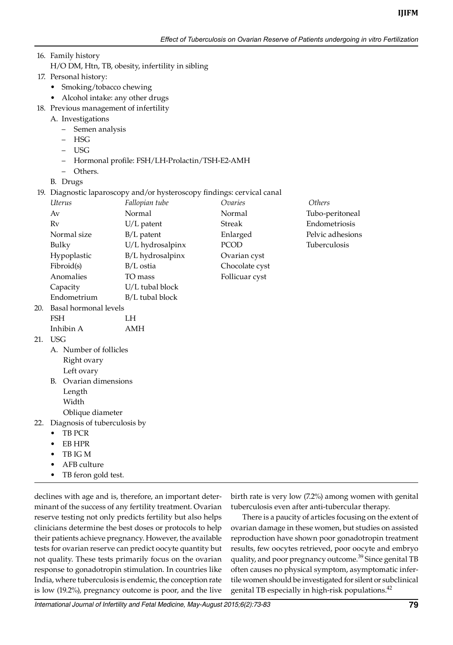- 16. Family history H/O DM, Htn, TB, obesity, infertility in sibling 17. Personal history:
	- Smoking/tobacco chewing
	- Alcohol intake: any other drugs
- 18. Previous management of infertility
	- A. Investigations
		- Semen analysis
		- HSG
		- USG
		- Hormonal profile: FSH/LH-Prolactin/TSH-E2-AMH
		- Others.
	- B. Drugs
- 19. Diagnostic laparoscopy and/or hysteroscopy findings: cervical canal

|     | Uterus                | Fallopian tube   | Ovaries        | <i>Others</i>       |
|-----|-----------------------|------------------|----------------|---------------------|
|     | Av                    | Normal           | Normal         | Tubo-peritoneal     |
|     | Rv                    | $U/L$ patent     | Streak         | Endometriosis       |
|     | Normal size           | $B/L$ patent     | Enlarged       | Pelvic adhesions    |
|     | Bulky                 | U/L hydrosalpinx | <b>PCOD</b>    | <b>Tuberculosis</b> |
|     | Hypoplastic           | B/L hydrosalpinx | Ovarian cyst   |                     |
|     | Fibroid(s)            | B/L ostia        | Chocolate cyst |                     |
|     | Anomalies             | TO mass          | Follicuar cyst |                     |
|     | Capacity              | U/L tubal block  |                |                     |
|     | Endometrium           | B/L tubal block  |                |                     |
| 20. | Basal hormonal levels |                  |                |                     |
|     | FSH                   | LH               |                |                     |
|     | Inhibin A             | AMH              |                |                     |
| 21. | USG                   |                  |                |                     |

- A. Number of follicles Right ovary
- Left ovary B. Ovarian dimensions Length
	- Width

 $21.$ 

- Oblique diameter
- 22. Diagnosis of tuberculosis by
	- TB PCR
	- EB HPR
	- TB IG M
	- AFB culture
	- TB feron gold test.

declines with age and is, therefore, an important determinant of the success of any fertility treatment. Ovarian reserve testing not only predicts fertility but also helps clinicians determine the best doses or protocols to help their patients achieve pregnancy. However, the available tests for ovarian reserve can predict oocyte quantity but not quality. These tests primarily focus on the ovarian response to gonadotropin stimulation. In countries like India, where tuberculosis is endemic, the conception rate is low (19.2%), pregnancy outcome is poor, and the live birth rate is very low (7.2%) among women with genital tuberculosis even after anti-tubercular therapy.

There is a paucity of articles focusing on the extent of ovarian damage in these women, but studies on assisted reproduction have shown poor gonadotropin treatment results, few oocytes retrieved, poor oocyte and embryo quality, and poor pregnancy outcome.<sup>39</sup> Since genital TB often causes no physical symptom, asymptomatic infertile women should be investigated for silent or subclinical genital TB especially in high-risk populations.<sup>42</sup>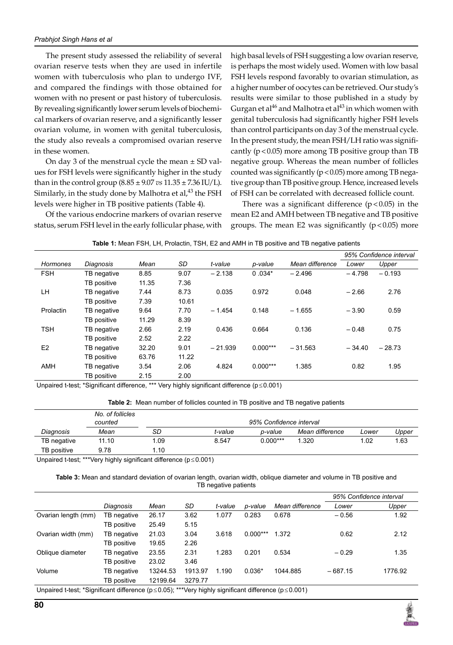The present study assessed the reliability of several ovarian reserve tests when they are used in infertile women with tuberculosis who plan to undergo IVF, and compared the findings with those obtained for women with no present or past history of tuberculosis. By revealing significantly lower serum levels of biochemical markers of ovarian reserve, and a significantly lesser ovarian volume, in women with genital tuberculosis, the study also reveals a compromised ovarian reserve in these women.

On day 3 of the menstrual cycle the mean  $\pm$  SD values for FSH levels were significantly higher in the study than in the control group (8.85 ± 9.07 *vs* 11.35 ± 7.36 IU/L). Similarly, in the study done by Malhotra et al, $^{43}$  the FSH levels were higher in TB positive patients (Table 4).

Of the various endocrine markers of ovarian reserve status, serum FSH level in the early follicular phase, with

high basal levels of FSH suggesting a low ovarian reserve, is perhaps the most widely used. Women with low basal FSH levels respond favorably to ovarian stimulation, as a higher number of oocytes can be retrieved. Our study's results were similar to those published in a study by Gurgan et al<sup>46</sup> and Malhotra et al<sup>43</sup> in which women with genital tuberculosis had significantly higher FSH levels than control participants on day 3 of the menstrual cycle. In the present study, the mean FSH/LH ratio was significantly  $(p < 0.05)$  more among TB positive group than TB negative group. Whereas the mean number of follicles counted was significantly ( $p$  < 0.05) more among TB negative group than TB positive group. Hence, increased levels of FSH can be correlated with decreased follicle count.

There was a significant difference  $(p < 0.05)$  in the mean E2 and AMH between TB negative and TB positive groups. The mean E2 was significantly  $(p<0.05)$  more

|  |  |  | Table 1: Mean FSH, LH, Prolactin, TSH, E2 and AMH in TB positive and TB negative patients |  |  |  |  |  |  |  |  |
|--|--|--|-------------------------------------------------------------------------------------------|--|--|--|--|--|--|--|--|
|--|--|--|-------------------------------------------------------------------------------------------|--|--|--|--|--|--|--|--|

|                 |             |       |       |           |            |                 | 95% Confidence interval |          |
|-----------------|-------------|-------|-------|-----------|------------|-----------------|-------------------------|----------|
| <b>Hormones</b> | Diagnosis   | Mean  | SD    | t-value   | p-value    | Mean difference | Lower                   | Upper    |
| <b>FSH</b>      | TB negative | 8.85  | 9.07  | $-2.138$  | $0.034*$   | $-2.496$        | $-4.798$                | $-0.193$ |
|                 | TB positive | 11.35 | 7.36  |           |            |                 |                         |          |
| LН              | TB negative | 7.44  | 8.73  | 0.035     | 0.972      | 0.048           | $-2.66$                 | 2.76     |
|                 | TB positive | 7.39  | 10.61 |           |            |                 |                         |          |
| Prolactin       | TB negative | 9.64  | 7.70  | $-1.454$  | 0.148      | $-1.655$        | $-3.90$                 | 0.59     |
|                 | TB positive | 11.29 | 8.39  |           |            |                 |                         |          |
| <b>TSH</b>      | TB negative | 2.66  | 2.19  | 0.436     | 0.664      | 0.136           | $-0.48$                 | 0.75     |
|                 | TB positive | 2.52  | 2.22  |           |            |                 |                         |          |
| E <sub>2</sub>  | TB negative | 32.20 | 9.01  | $-21.939$ | $0.000***$ | $-31.563$       | $-34.40$                | $-28.73$ |
|                 | TB positive | 63.76 | 11.22 |           |            |                 |                         |          |
| AMH             | TB negative | 3.54  | 2.06  | 4.824     | $0.000***$ | 1.385           | 0.82                    | 1.95     |
|                 | TB positive | 2.15  | 2.00  |           |            |                 |                         |          |

Unpaired t-test; \*Significant difference, \*\*\* Very highly significant difference (p≤0.001)

**Table 2:** Mean number of follicles counted in TB positive and TB negative patients

|             | No. of follicles<br>counted | 95% Confidence interval |         |            |                 |       |       |
|-------------|-----------------------------|-------------------------|---------|------------|-----------------|-------|-------|
| Diagnosis   | Mean                        | SD                      | t-value | p-value    | Mean difference | Lower | Upper |
| TB negative | 11.10                       | 1.09                    | 8.547   | $0.000***$ | 1.320           | 1.02  | .63   |
| TB positive | 9.78                        | 1.10                    |         |            |                 |       |       |

Unpaired t-test; \*\*\*Very highly significant difference (p≤0.001)

Table 3: Mean and standard deviation of ovarian length, ovarian width, oblique diameter and volume in TB positive and TB negative patients

|                                                                                                                    |             |          |         |         |            |                 |           | 95% Confidence interval |
|--------------------------------------------------------------------------------------------------------------------|-------------|----------|---------|---------|------------|-----------------|-----------|-------------------------|
|                                                                                                                    | Diagnosis   | Mean     | SD      | t-value | p-value    | Mean difference | Lower     | Upper                   |
| Ovarian length (mm)                                                                                                | TB negative | 26.17    | 3.62    | 1.077   | 0.283      | 0.678           | $-0.56$   | 1.92                    |
|                                                                                                                    | TB positive | 25.49    | 5.15    |         |            |                 |           |                         |
| Ovarian width (mm)                                                                                                 | TB negative | 21.03    | 3.04    | 3.618   | $0.000***$ | 1.372           | 0.62      | 2.12                    |
|                                                                                                                    | TB positive | 19.65    | 2.26    |         |            |                 |           |                         |
| Oblique diameter                                                                                                   | TB negative | 23.55    | 2.31    | 1.283   | 0.201      | 0.534           | $-0.29$   | 1.35                    |
|                                                                                                                    | TB positive | 23.02    | 3.46    |         |            |                 |           |                         |
| Volume                                                                                                             | TB negative | 13244.53 | 1913.97 | 1.190   | $0.036*$   | 1044.885        | $-687.15$ | 1776.92                 |
|                                                                                                                    | TB positive | 12199.64 | 3279.77 |         |            |                 |           |                         |
| Unpaired t-test: *Significant difference ( $p \le 0.05$ ): ***Very highly significant difference ( $p \le 0.001$ ) |             |          |         |         |            |                 |           |                         |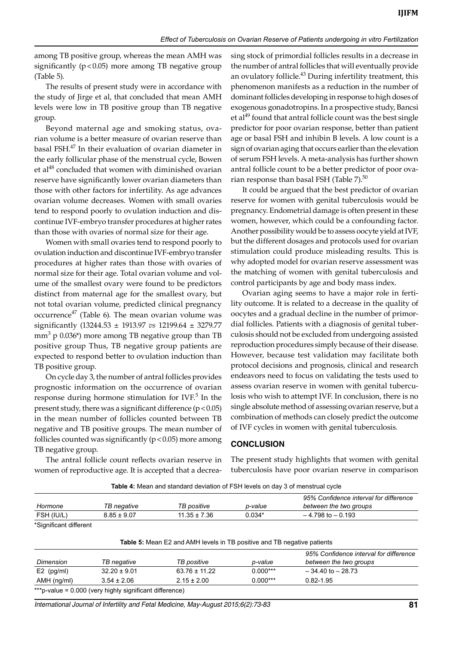among TB positive group, whereas the mean AMH was significantly ( $p$ <0.05) more among TB negative group (Table 5).

The results of present study were in accordance with the study of Jirge et al, that concluded that mean AMH levels were low in TB positive group than TB negative group.

Beyond maternal age and smoking status, ovarian volume is a better measure of ovarian reserve than basal FSH.<sup>47</sup> In their evaluation of ovarian diameter in the early follicular phase of the menstrual cycle, Bowen et al<sup>48</sup> concluded that women with diminished ovarian reserve have significantly lower ovarian diameters than those with other factors for infertility. As age advances ovarian volume decreases. Women with small ovaries tend to respond poorly to ovulation induction and discontinue IVF-embryo transfer procedures at higher rates than those with ovaries of normal size for their age.

Women with small ovaries tend to respond poorly to ovulation induction and discontinue IVF-embryo transfer procedures at higher rates than those with ovaries of normal size for their age. Total ovarian volume and volume of the smallest ovary were found to be predictors distinct from maternal age for the smallest ovary, but not total ovarian volume, predicted clinical pregnancy occurrence<sup>47</sup> (Table 6). The mean ovarian volume was significantly (13244.53 ± 1913.97 *vs* 12199.64 ± 3279.77 mm<sup>3</sup> p 0.036\*) more among TB negative group than TB positive group Thus, TB negative group patients are expected to respond better to ovulation induction than TB positive group.

On cycle day 3, the number of antral follicles provides prognostic information on the occurrence of ovarian response during hormone stimulation for IVF.<sup>5</sup> In the present study, there was a significant difference  $(p < 0.05)$ in the mean number of follicles counted between TB negative and TB positive groups. The mean number of follicles counted was significantly ( $p < 0.05$ ) more among TB negative group.

The antral follicle count reflects ovarian reserve in women of reproductive age. It is accepted that a decrea-

sing stock of primordial follicles results in a decrease in the number of antral follicles that will eventually provide an ovulatory follicle.<sup>43</sup> During infertility treatment, this phenomenon manifests as a reduction in the number of dominant follicles developing in response to high doses of exogenous gonadotropins. In a prospective study, Bancsi et al<sup>49</sup> found that antral follicle count was the best single predictor for poor ovarian response, better than patient age or basal FSH and inhibin B levels. A low count is a sign of ovarian aging that occurs earlier than the elevation of serum FSH levels. A meta-analysis has further shown antral follicle count to be a better predictor of poor ovarian response than basal FSH (Table  $7$ ).<sup>50</sup>

It could be argued that the best predictor of ovarian reserve for women with genital tuberculosis would be pregnancy. Endometrial damage is often present in these women, however, which could be a confounding factor. Another possibility would be to assess oocyte yield at IVF, but the different dosages and protocols used for ovarian stimulation could produce misleading results. This is why adopted model for ovarian reserve assessment was the matching of women with genital tuberculosis and control participants by age and body mass index.

Ovarian aging seems to have a major role in fertility outcome. It is related to a decrease in the quality of oocytes and a gradual decline in the number of primordial follicles. Patients with a diagnosis of genital tuberculosis should not be excluded from undergoing assisted reproduction procedures simply because of their disease. However, because test validation may facilitate both protocol decisions and prognosis, clinical and research endeavors need to focus on validating the tests used to assess ovarian reserve in women with genital tuberculosis who wish to attempt IVF. In conclusion, there is no single absolute method of assessing ovarian reserve, but a combination of methods can closely predict the outcome of IVF cycles in women with genital tuberculosis.

#### **Conclusion**

The present study highlights that women with genital tuberculosis have poor ovarian reserve in comparison

| Hormone    | TB negative     | TB positive      | p-value  | 95% Confidence interval for difference<br>between the two groups |
|------------|-----------------|------------------|----------|------------------------------------------------------------------|
| FSH (IU/L) | $8.85 \pm 9.07$ | $11.35 \pm 7.36$ | $0.034*$ | $-4.798$ to $-0.193$                                             |

|              |                                                         |                   |            | 95% Confidence interval for difference |
|--------------|---------------------------------------------------------|-------------------|------------|----------------------------------------|
| Dimension    | TB negative                                             | TB positive       | p-value    | between the two groups                 |
| $E2$ (pg/ml) | $32.20 \pm 9.01$                                        | $63.76 \pm 11.22$ | $0.000***$ | $-34.40$ to $-28.73$                   |
| AMH (ng/ml)  | $3.54 \pm 2.06$                                         | $2.15 \pm 2.00$   | $0.000***$ | $0.82 - 1.95$                          |
|              | ***p-value = 0.000 (very highly significant difference) |                   |            |                                        |

*International Journal of Infertility and Fetal Medicine, May-August 2015;6(2):73-83* **81**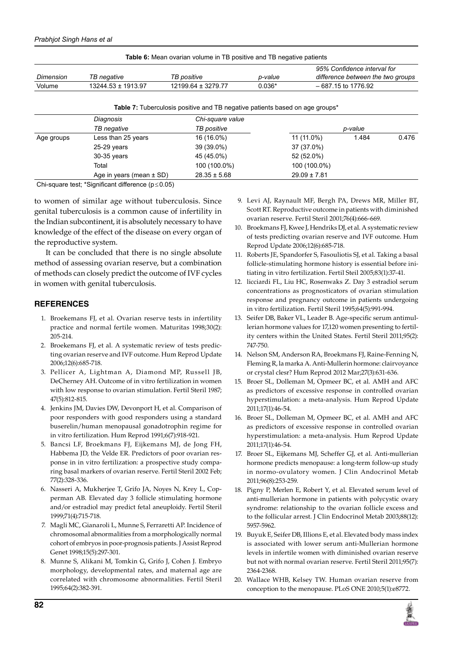| <b>Table 6:</b> Mean ovarian volume in TB positive and TB negative patients |                        |                        |          |                                                                  |  |  |
|-----------------------------------------------------------------------------|------------------------|------------------------|----------|------------------------------------------------------------------|--|--|
| Dimension                                                                   | TB negative            | TB positive            | p-value  | 95% Confidence interval for<br>difference between the two groups |  |  |
| Volume                                                                      | $13244.53 \pm 1913.97$ | $12199.64 \pm 3279.77$ | $0.036*$ | – 687.15 to 1776.92                                              |  |  |

**Table 7:** Tuberculosis positive and TB negative patients based on age groups\*

|            | Diagnosis                    | Chi-square value |                  |         |       |
|------------|------------------------------|------------------|------------------|---------|-------|
|            | TB negative                  | TB positive      |                  | p-value |       |
| Age groups | Less than 25 years           | 16 (16.0%)       | 11 (11.0%)       | 1.484   | 0.476 |
|            | $25-29$ years                | 39 (39.0%)       | 37 (37.0%)       |         |       |
|            | 30-35 years                  | 45 (45.0%)       | 52 (52.0%)       |         |       |
|            | Total                        | 100 (100.0%)     | 100 (100.0%)     |         |       |
|            | Age in years (mean $\pm$ SD) | $28.35 \pm 5.68$ | $29.09 \pm 7.81$ |         |       |

Chi-square test; \*Significant difference (p≤0.05)

to women of similar age without tuberculosis. Since genital tuberculosis is a common cause of infertility in the Indian subcontinent, it is absolutely necessary to have knowledge of the effect of the disease on every organ of the reproductive system.

It can be concluded that there is no single absolute method of assessing ovarian reserve, but a combination of methods can closely predict the outcome of IVF cycles in women with genital tuberculosis.

## **References**

- 1. Broekemans FJ, et al. Ovarian reserve tests in infertility practice and normal fertile women. Maturitas 1998;30(2): 205-214.
- 2. Broekemans FJ, et al. A systematic review of tests predicting ovarian reserve and IVF outcome. Hum Reprod Update 2006;12(6):685-718.
- 3. Pellicer A, Lightman A, Diamond MP, Russell JB, DeCherney AH. Outcome of in vitro fertilization in women with low response to ovarian stimulation. Fertil Steril 1987; 47(5):812-815.
- 4. Jenkins JM, Davies DW, Devonport H, et al. Comparison of poor responders with good responders using a standard buserelin/human menopausal gonadotrophin regime for in vitro fertilization. Hum Reprod 1991;6(7):918-921.
- 5. Bancsi LF, Broekmans FJ, Eijkemans MJ, de Jong FH, Habbema JD, the Velde ER. Predictors of poor ovarian response in in vitro fertilization: a prospective study comparing basal markers of ovarian reserve. Fertil Steril 2002 Feb; 77(2):328-336.
- 6. Nasseri A, Mukherjee T, Grifo JA, Noyes N, Krey L, Copperman AB. Elevated day 3 follicle stimulating hormone and/or estradiol may predict fetal aneuploidy. Fertil Steril 1999;71(4):715-718.
- 7. Magli MC, Gianaroli L, Munne S, Ferraretti AP. Incidence of chromosomal abnormalities from a morphologically normal cohort of embryos in poor-prognosis patients. J Assist Reprod Genet 1998;15(5):297-301.
- 8. Munne S, Alikani M, Tomkin G, Grifo J, Cohen J. Embryo morphology, developmental rates, and maternal age are correlated with chromosome abnormalities. Fertil Steril 1995;64(2):382-391.
- 9. Levi AJ, Raynault MF, Bergh PA, Drews MR, Miller BT, Scott RT. Reproductive outcome in patients with diminished ovarian reserve. Fertil Steril 2001;76(4):666-669.
- 10. Broekmans FJ, Kwee J, Hendriks DJ, et al. A systematic review of tests predicting ovarian reserve and IVF outcome. Hum Reprod Update 2006;12(6):685-718.
- 11. Roberts JE, Spandorfer S, Fasouliotis SJ, et al. Taking a basal follicle-stimulating hormone history is essential before initiating in vitro fertilization. Fertil Steil 2005;83(1):37-41.
- 12. licciardi FL, Liu HC, Rosenwaks Z. Day 3 estradiol serum concentrations as prognosticators of ovarian stimulation response and pregnancy outcome in patients undergoing in vitro fertilization. Fertil Steril 1995;64(5):991-994.
- 13. Seifer DB, Baker VL, Leader B. Age-specific serum antimullerian hormone values for 17,120 women presenting to fertility centers within the United States. Fertil Steril 2011;95(2): 747-750.
- 14. Nelson SM, Anderson RA, Broekmans FJ, Raine-Fenning N, Fleming R, la marka A. Anti-Mullerin hormone: clairvoyance or crystal clesr? Hum Reprod 2012 Mar;27(3):631-636.
- 15. Broer SL, Dolleman M, Opmeer BC, et al. AMH and AFC as predictors of excessive response in controlled ovarian hyperstimulation: a meta-analysis. Hum Reprod Update 2011;17(1):46-54.
- 16. Broer SL, Dolleman M, Opmeer BC, et al. AMH and AFC as predictors of excessive response in controlled ovarian hyperstimulation: a meta-analysis. Hum Reprod Update 2011;17(1):46-54.
- 17. Broer SL, Eijkemans MJ, Scheffer GJ, et al. Anti-mullerian hormone predicts menopause: a long-term follow-up study in normo-ovulatory women. J Clin Andocrinol Metab 2011;96(8):253-259.
- 18. Pigny P, Merlen E, Robert Y, et al. Elevated serum level of anti-mullerian hormone in patients with polycystic ovary syndrome: relationship to the ovarian follicle excess and to the follicular arrest. J Clin Endocrinol Metab 2003;88(12): 5957-5962.
- 19. Buyuk E, Seifer DB, Illions E, et al. Elevated body mass index is associated with lower serum anti-Mullerian hormone levels in infertile women with diminished ovarian reserve but not with normal ovarian reserve. Fertil Steril 2011;95(7): 2364-2368.
- 20. Wallace WHB, Kelsey TW. Human ovarian reserve from conception to the menopause. PLoS ONE 2010;5(1):e8772.